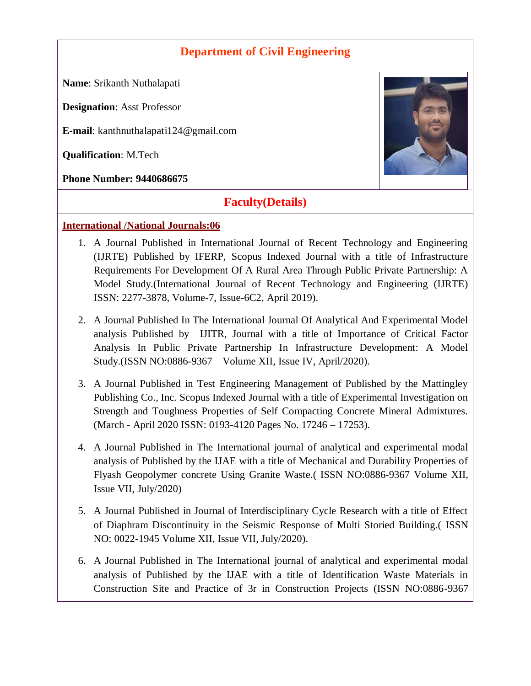## **Department of Civil Engineering**

**Name**: Srikanth Nuthalapati

**Designation**: Asst Professor

**E-mail**: kanthnuthalapati124@gmail.com

**Qualification**: M.Tech

**Phone Number: 9440686675**

# **Faculty(Details)**

#### **International /National Journals:06**

- 1. A Journal Published in International Journal of Recent Technology and Engineering (IJRTE) Published by IFERP, Scopus Indexed Journal with a title of Infrastructure Requirements For Development Of A Rural Area Through Public Private Partnership: A Model Study.(International Journal of Recent Technology and Engineering (IJRTE) ISSN: 2277-3878, Volume-7, Issue-6C2, April 2019).
- 2. A Journal Published In The International Journal Of Analytical And Experimental Model analysis Published by IJITR, Journal with a title of Importance of Critical Factor Analysis In Public Private Partnership In Infrastructure Development: A Model Study.(ISSN NO:0886-9367 Volume XII, Issue IV, April/2020).
- 3. A Journal Published in Test Engineering Management of Published by the Mattingley Publishing Co., Inc. Scopus Indexed Journal with a title of Experimental Investigation on Strength and Toughness Properties of Self Compacting Concrete Mineral Admixtures. (March - April 2020 ISSN: 0193-4120 Pages No. 17246 – 17253).
- 4. A Journal Published in The International journal of analytical and experimental modal analysis of Published by the IJAE with a title of Mechanical and Durability Properties of Flyash Geopolymer concrete Using Granite Waste.( ISSN NO:0886-9367 Volume XII, Issue VII, July/2020)
- 5. A Journal Published in Journal of Interdisciplinary Cycle Research with a title of Effect of Diaphram Discontinuity in the Seismic Response of Multi Storied Building.( ISSN NO: 0022-1945 Volume XII, Issue VII, July/2020).
- 6. A Journal Published in The International journal of analytical and experimental modal analysis of Published by the IJAE with a title of Identification Waste Materials in Construction Site and Practice of 3r in Construction Projects (ISSN NO:0886-9367

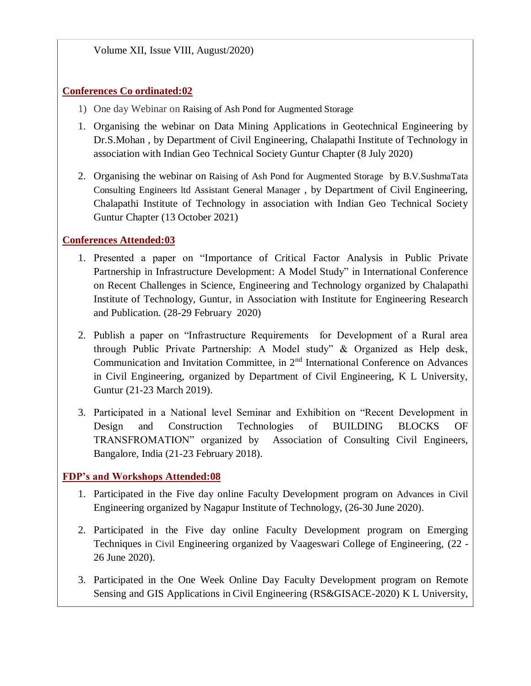#### **Conferences Co ordinated:02**

- 1) One day Webinar on Raising of Ash Pond for Augmented Storage
- 1. Organising the webinar on Data Mining Applications in Geotechnical Engineering by Dr.S.Mohan , by Department of Civil Engineering, Chalapathi Institute of Technology in association with Indian Geo Technical Society Guntur Chapter (8 July 2020)
- 2. Organising the webinar on Raising of Ash Pond for Augmented Storage by B.V.SushmaTata Consulting Engineers ltd Assistant General Manager , by Department of Civil Engineering, Chalapathi Institute of Technology in association with Indian Geo Technical Society Guntur Chapter (13 October 2021)

## **Conferences Attended:03**

- 1. Presented a paper on "Importance of Critical Factor Analysis in Public Private Partnership in Infrastructure Development: A Model Study" in International Conference on Recent Challenges in Science, Engineering and Technology organized by Chalapathi Institute of Technology, Guntur, in Association with Institute for Engineering Research and Publication. (28-29 February 2020)
- 2. Publish a paper on "Infrastructure Requirements for Development of a Rural area through Public Private Partnership: A Model study" & Organized as Help desk, Communication and Invitation Committee, in 2nd International Conference on Advances in Civil Engineering, organized by Department of Civil Engineering, K L University, Guntur (21-23 March 2019).
- 3. Participated in a National level Seminar and Exhibition on "Recent Development in Design and Construction Technologies of BUILDING BLOCKS OF TRANSFROMATION" organized by Association of Consulting Civil Engineers, Bangalore, India (21-23 February 2018).

## **FDP's and Workshops Attended:08**

- 1. Participated in the Five day online Faculty Development program on Advances in Civil Engineering organized by Nagapur Institute of Technology, (26-30 June 2020).
- 2. Participated in the Five day online Faculty Development program on Emerging Techniques in Civil Engineering organized by Vaageswari College of Engineering, (22 - 26 June 2020).
- 3. Participated in the One Week Online Day Faculty Development program on Remote Sensing and GIS Applications in Civil Engineering (RS&GISACE-2020) K L University,